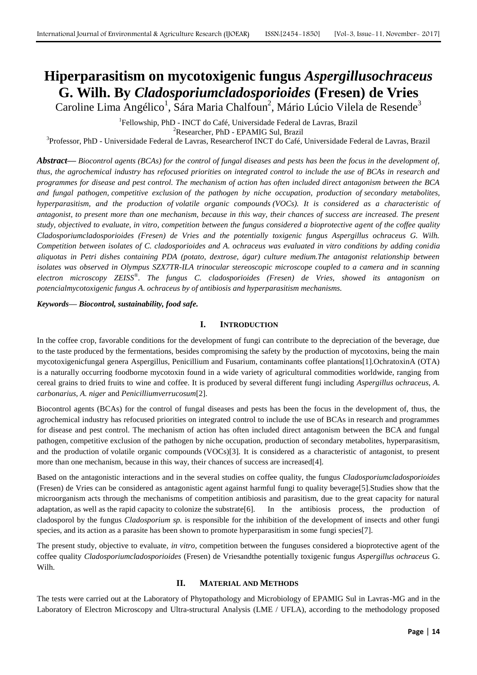# **Hiperparasitism on mycotoxigenic fungus** *Aspergillusochraceus* **G. Wilh. By** *Cladosporiumcladosporioides* **(Fresen) de Vries**

Caroline Lima Angélico<sup>1</sup>, Sára Maria Chalfoun<sup>2</sup>, Mário Lúcio Vilela de Resende<sup>3</sup>

<sup>1</sup>Fellowship, PhD - INCT do Café, Universidade Federal de Lavras, Brazil <sup>2</sup>Researcher, PhD - EPAMIG Sul, Brazil

<sup>3</sup>Professor, PhD - Universidade Federal de Lavras, Researcherof INCT do Café, Universidade Federal de Lavras, Brazil

*Abstract***—** *Biocontrol agents (BCAs) for the control of fungal diseases and pests has been the focus in the development of, thus, the agrochemical industry has refocused priorities on integrated control to include the use of BCAs in research and programmes for disease and pest control. The mechanism of action has often included direct antagonism between the BCA and fungal pathogen, [competitive exclusion](http://www.sciencedirect.com/topics/agricultural-and-biological-sciences/competitive-exclusion-principle) of the pathogen by niche occupation, production of secondary [metabolites,](http://www.sciencedirect.com/topics/agricultural-and-biological-sciences/secondary-metabolite) hyperparasitism, and the production of [volatile organic compounds](http://www.sciencedirect.com/topics/agricultural-and-biological-sciences/volatile-organic-compound) (VOCs). It is considered as a characteristic of antagonist, to present more than one mechanism, because in this way, their chances of success are increased. The present study, objectived to evaluate, in vitro, competition between the fungus considered a bioprotective agent of the coffee quality Cladosporiumcladosporioides (Fresen) de Vries and the potentially toxigenic fungus Aspergillus ochraceus G. Wilh. Competition between isolates of C. cladosporioides and A. ochraceus was evaluated in vitro conditions by adding conidia aliquotas in Petri dishes containing PDA (potato, dextrose, ágar) culture medium.The antagonist relationship between isolates was observed in Olympus SZX7TR-ILA trinocular stereoscopic microscope coupled to a camera and in scanning electron microscopy ZEISS® . The fungus C. cladosporioides (Fresen) de Vries, showed its antagonism on potencialmycotoxigenic fungus A. ochraceus by of antibiosis and hyperparasitism mechanisms.*

*Keywords— Biocontrol, sustainability, food safe.*

## **I. INTRODUCTION**

In the coffee crop, favorable conditions for the development of fungi can contribute to the depreciation of the beverage, due to the taste produced by the fermentations, besides compromising the safety by the production of mycotoxins, being the main mycotoxigenicfungal genera Aspergillus, Penicillium and Fusarium, contaminants coffee plantations[1].OchratoxinA (OTA) is a naturally occurring foodborne mycotoxin found in a wide variety of agricultural commodities worldwide, ranging from cereal grains to dried fruits to wine and coffee. It is produced by several different fungi including *Aspergillus ochraceus, A. carbonarius, A. niger* and *Penicilliumverrucosum*[2].

Biocontrol agents (BCAs) for the control of fungal diseases and pests has been the focus in the development of, thus, the agrochemical industry has refocused priorities on integrated control to include the use of BCAs in research and programmes for disease and pest control. The mechanism of action has often included direct antagonism between the BCA and fungal pathogen, [competitive exclusion](http://www.sciencedirect.com/topics/agricultural-and-biological-sciences/competitive-exclusion-principle) of the pathogen by niche occupation, production of [secondary metabolites,](http://www.sciencedirect.com/topics/agricultural-and-biological-sciences/secondary-metabolite) hyperparasitism, and the production of [volatile organic compounds](http://www.sciencedirect.com/topics/agricultural-and-biological-sciences/volatile-organic-compound) (VOCs)[3]. It is considered as a characteristic of antagonist, to present more than one mechanism, because in this way, their chances of success are increased[4].

Based on the antagonistic interactions and in the several studies on coffee quality, the fungus *Cladosporiumcladosporioides* (Fresen) de Vries can be considered as antagonistic agent against harmful fungi to quality beverage[5].Studies show that the microorganism acts through the mechanisms of competition antibiosis and parasitism, due to the great capacity for natural adaptation, as well as the rapid capacity to colonize the substrate[6]. In the antibiosis process, the production of cladosporol by the fungus *Cladosporium sp.* is responsible for the inhibition of the development of insects and other fungi species, and its action as a parasite has been shown to promote hyperparasitism in some fungi species[7].

The present study, objective to evaluate, *in vitro,* competition between the funguses considered a bioprotective agent of the coffee quality *Cladosporiumcladosporioides* (Fresen) de Vriesandthe potentially toxigenic fungus *Aspergillus ochraceus* G. Wilh.

# **II. MATERIAL AND METHODS**

The tests were carried out at the Laboratory of Phytopathology and Microbiology of EPAMIG Sul in Lavras-MG and in the Laboratory of Electron Microscopy and Ultra-structural Analysis (LME / UFLA), according to the methodology proposed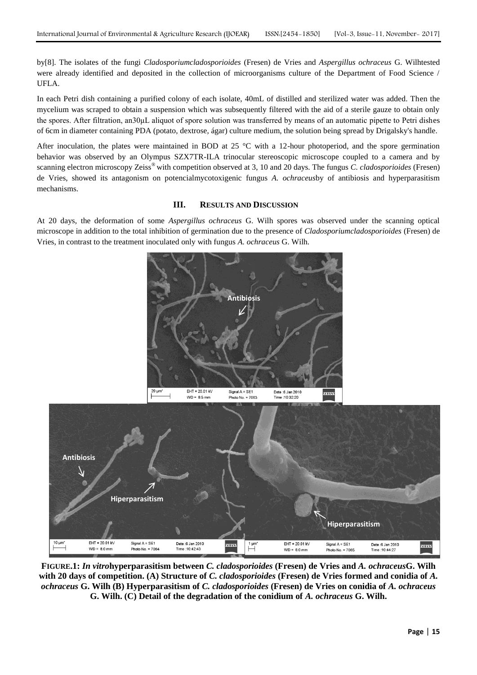by[8]. The isolates of the fungi *Cladosporiumcladosporioides* (Fresen) de Vries and *Aspergillus ochraceus* G. Wilhtested were already identified and deposited in the collection of microorganisms culture of the Department of Food Science / UFLA.

In each Petri dish containing a purified colony of each isolate, 40mL of distilled and sterilized water was added. Then the mycelium was scraped to obtain a suspension which was subsequently filtered with the aid of a sterile gauze to obtain only the spores. After filtration, an30μL aliquot of spore solution was transferred by means of an automatic pipette to Petri dishes of 6cm in diameter containing PDA (potato, dextrose, ágar) culture medium, the solution being spread by Drigalsky's handle.

After inoculation, the plates were maintained in BOD at 25 °C with a 12-hour photoperiod, and the spore germination behavior was observed by an Olympus SZX7TR-ILA trinocular stereoscopic microscope coupled to a camera and by scanning electron microscopy Zeiss® with competition observed at 3, 10 and 20 days. The fungus *C. cladosporioides* (Fresen) de Vries, showed its antagonism on potencialmycotoxigenic fungus *A. ochraceus*by of antibiosis and hyperparasitism mechanisms.

# **III. RESULTS AND DISCUSSION**

At 20 days, the deformation of some *Aspergillus ochraceus* G. Wilh spores was observed under the scanning optical microscope in addition to the total inhibition of germination due to the presence of *Cladosporiumcladosporioides* (Fresen) de Vries, in contrast to the treatment inoculated only with fungus *A. ochraceus* G. Wilh.



**FIGURE.1:** *In vitro***hyperparasitism between** *C. cladosporioides* **(Fresen) de Vries and** *A. ochraceus***G. Wilh with 20 days of competition. (A) Structure of** *C. cladosporioides* **(Fresen) de Vries formed and conidia of** *A. ochraceus* **G. Wilh (B) Hyperparasitism of** *C. cladosporioides* **(Fresen) de Vries on conidia of** *A. ochraceus* **G. Wilh. (C) Detail of the degradation of the conidium of** *A. ochraceus* **G. Wilh.**